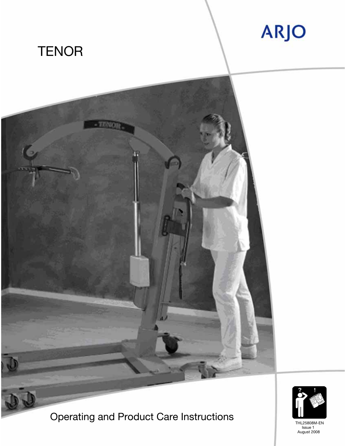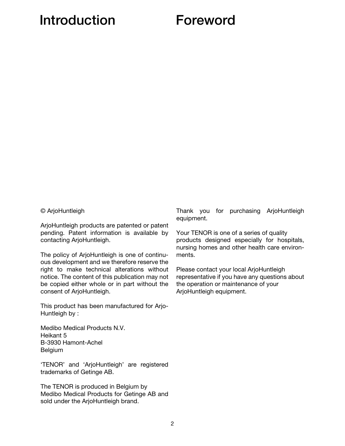## Introduction Foreword

© ArjoHuntleigh

ArjoHuntleigh products are patented or patent pending. Patent information is available by contacting ArjoHuntleigh.

The policy of ArjoHuntleigh is one of continuous development and we therefore reserve the right to make technical alterations without notice. The content of this publication may not be copied either whole or in part without the consent of ArjoHuntleigh.

This product has been manufactured for Arjo-Huntleigh by :

Medibo Medical Products N.V. Heikant 5 B-3930 Hamont-Achel Belgium

'TENOR' and 'ArjoHuntleigh' are registered trademarks of Getinge AB.

The TENOR is produced in Belgium by Medibo Medical Products for Getinge AB and sold under the ArjoHuntleigh brand.

Thank you for purchasing ArjoHuntleigh equipment.

Your TENOR is one of a series of quality products designed especially for hospitals, nursing homes and other health care environments.

Please contact your local ArjoHuntleigh representative if you have any questions about the operation or maintenance of your ArjoHuntleigh equipment.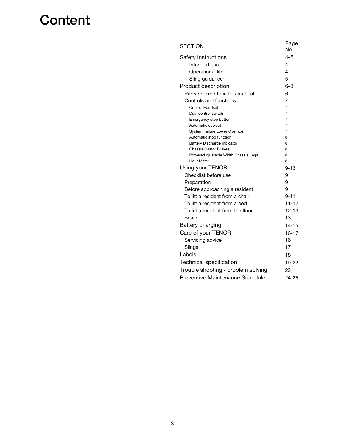# **Content**

| <b>SECTION</b>                                                     | Page<br>No. |
|--------------------------------------------------------------------|-------------|
| Safety Instructions                                                | $4 - 5$     |
| Intended use                                                       | 4           |
| Operational life                                                   | 4           |
| Sling guidance                                                     | 5           |
| Product description                                                | 6-8         |
| Parts referred to in this manual                                   | 6           |
| Controls and functions                                             | 7           |
| <b>Control Handset</b>                                             | 7           |
| Dual control switch                                                | 7           |
| Emergency stop button                                              | 7           |
| Automatic cut-out                                                  | 7           |
| System Failure Lower Override                                      | 7           |
| Automatic stop function                                            | 8           |
| <b>Battery Discharge Indicator</b><br><b>Chassis Castor Brakes</b> | 8<br>8      |
| Powered djustable Width Chassis Legs                               | 8           |
| Hour Meter                                                         | 8           |
| Using your TENOR                                                   | $9 - 13$    |
| Checklist before use                                               | 9           |
| Preparation                                                        | 9           |
| Before approaching a resident                                      | 9           |
| To lift a resident from a chair                                    | $9 - 11$    |
| To lift a resident from a bed                                      | $11 - 12$   |
| To lift a resident from the floor                                  | $12 - 13$   |
| Scale                                                              | 13          |
| Battery charging                                                   | $14 - 15$   |
| Care of your TENOR                                                 | $16 - 17$   |
| Servicing advice                                                   | 16          |
| Slings                                                             | 17          |
| Labels                                                             | 18          |
| <b>Technical specification</b>                                     | 19-22       |
| Trouble shooting / problem solving                                 | 23          |
| Preventive Maintenance Schedule                                    | $24 - 25$   |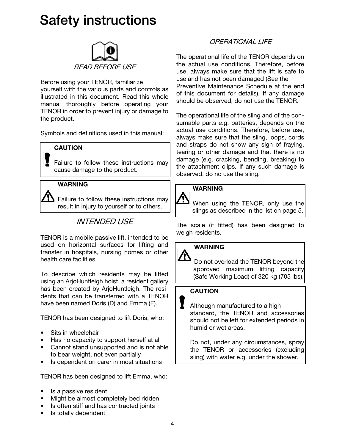# Safety instructions



Before using your TENOR, familiarize yourself with the various parts and controls as illustrated in this document. Read this whole manual thoroughly before operating your TENOR in order to prevent injury or damage to the product.

Symbols and definitions used in this manual:

### **CAUTION**

Failure to follow these instructions may cause damage to the product.

### WARNING

 $\sum$  Failure to follow these instructions may result in injury to yourself or to others.

## INTENDED USE

TENOR is a mobile passive lift, intended to be used on horizontal surfaces for lifting and transfer in hospitals, nursing homes or other health care facilities.

To describe which residents may be lifted using an ArjoHuntleigh hoist, a resident gallery has been created by ArjoHuntleigh. The residents that can be transferred with a TENOR have been named Doris (D) and Emma (E).

TENOR has been designed to lift Doris, who:

- Sits in wheelchair
- Has no capacity to support herself at all
- Cannot stand unsupported and is not able to bear weight, not even partially
- Is dependent on carer in most situations

TENOR has been designed to lift Emma, who:

- Is a passive resident
- Might be almost completely bed ridden
- Is often stiff and has contracted joints
- Is totally dependent

### OPERATIONAL LIFE

The operational life of the TENOR depends on the actual use conditions. Therefore, before use, always make sure that the lift is safe to use and has not been damaged (See the Preventive Maintenance Schedule at the end of this document for details). If any damage should be observed, do not use the TENOR.

The operational life of the sling and of the consumable parts e.g. batteries, depends on the actual use conditions. Therefore, before use, always make sure that the sling, loops, cords and straps do not show any sign of fraying, tearing or other damage and that there is no damage (e.g. cracking, bending, breaking) to the attachment clips. If any such damage is observed, do no use the sling.

### WARNING

<u>个</u> When using the TENOR, only use the slings as described in the list on page 5.

The scale (if fitted) has been designed to weigh residents.

### WARNING

公 Do not overload the TENOR beyond the approved maximum lifting capacity (Safe Working Load) of 320 kg (705 lbs).

### **CAUTION**

Although manufactured to a high standard, the TENOR and accessories should not be left for extended periods in humid or wet areas.

Do not, under any circumstances, spray the TENOR or accessories (excluding sling) with water e.g. under the shower.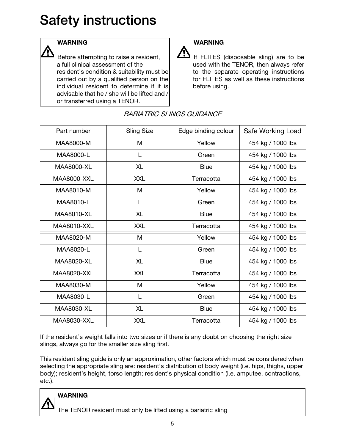# Safety instructions

### WARNING

Before attempting to raise a resident, a full clinical assessment of the resident's condition & suitability must be carried out by a qualified person on the individual resident to determine if it is advisable that he / she will be lifted and / or transferred using a TENOR.

## WARNING

<u>个</u> If FLITES (disposable sling) are to be used with the TENOR, then always refer to the separate operating instructions for FLITES as well as these instructions before using.

| Part number        | <b>Sling Size</b> | Edge binding colour | Safe Working Load |
|--------------------|-------------------|---------------------|-------------------|
| MAA8000-M          | M                 | Yellow              | 454 kg / 1000 lbs |
| MAA8000-L          | L                 | Green               | 454 kg / 1000 lbs |
| MAA8000-XL         | XL                | <b>Blue</b>         | 454 kg / 1000 lbs |
| <b>MAA8000-XXL</b> | <b>XXL</b>        | Terracotta          | 454 kg / 1000 lbs |
| MAA8010-M          | M                 | Yellow              | 454 kg / 1000 lbs |
| MAA8010-L          | L                 | Green               | 454 kg / 1000 lbs |
| MAA8010-XL         | XL                | <b>Blue</b>         | 454 kg / 1000 lbs |
| <b>MAA8010-XXL</b> | <b>XXL</b>        | Terracotta          | 454 kg / 1000 lbs |
| MAA8020-M          | M                 | Yellow              | 454 kg / 1000 lbs |
| MAA8020-L          | L                 | Green               | 454 kg / 1000 lbs |
| MAA8020-XL         | <b>XL</b>         | <b>Blue</b>         | 454 kg / 1000 lbs |
| <b>MAA8020-XXL</b> | <b>XXL</b>        | Terracotta          | 454 kg / 1000 lbs |
| MAA8030-M          | M                 | Yellow              | 454 kg / 1000 lbs |
| MAA8030-L          | L                 | Green               | 454 kg / 1000 lbs |
| MAA8030-XL         | <b>XL</b>         | <b>Blue</b>         | 454 kg / 1000 lbs |
| MAA8030-XXL        | <b>XXL</b>        | Terracotta          | 454 kg / 1000 lbs |

### BARIATRIC SLINGS GUIDANCE

If the resident's weight falls into two sizes or if there is any doubt on choosing the right size slings, always go for the smaller size sling first.

This resident sling guide is only an approximation, other factors which must be considered when selecting the appropriate sling are: resident's distribution of body weight (i.e. hips, thighs, upper body); resident's height, torso length; resident's physical condition (i.e. amputee, contractions, etc.).

### **WARNING**

The TENOR resident must only be lifted using a bariatric sling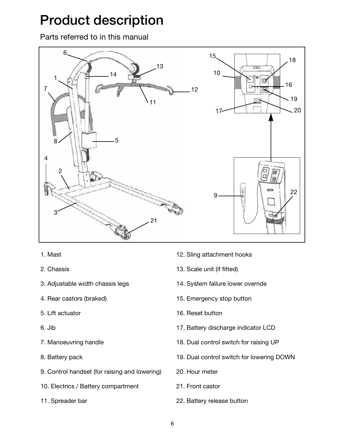# Product description

Parts referred to in this manual



- 1. Mast
- 2. Chassis
- 3. Adjustable width chassis legs
- 4. Rear castors (braked)
- 5. Lift actuator
- 6. Jib
- 7. Manoeuvring handle
- 8. Battery pack
- 9. Control handset (for raising and lowering)
- 10. Electrics / Battery compartment
- 11. Spreader bar
- 12. Sling attachment hooks
- 13. Scale unit (if fitted)
- 14. System failure lower override
- 15. Emergency stop button
- 16. Reset button
- 17. Battery discharge indicator LCD
- 18. Dual control switch for raising UP
- 19. Dual control switch for lowering DOWN
- 20. Hour meter
- 21. Front castor
- 22. Battery release button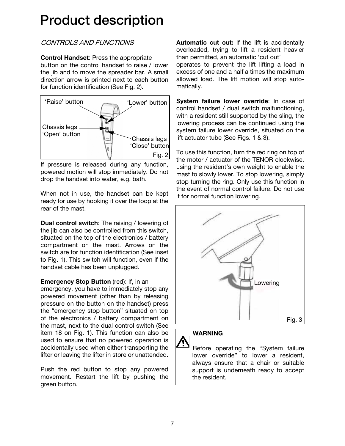# Product description

## CONTROLS AND FUNCTIONS

Control Handset: Press the appropriate button on the control handset to raise / lower the jib and to move the spreader bar. A small direction arrow is printed next to each button for function identification (See Fig. 2).



If pressure is released during any function, powered motion will stop immediately. Do not drop the handset into water, e.g. bath.

When not in use, the handset can be kept ready for use by hooking it over the loop at the rear of the mast.

Dual control switch: The raising / lowering of the jib can also be controlled from this switch, situated on the top of the electronics / battery compartment on the mast. Arrows on the switch are for function identification (See inset to Fig. 1). This switch will function, even if the handset cable has been unplugged.

### Emergency Stop Button (red): If, in an

emergency, you have to immediately stop any powered movement (other than by releasing pressure on the button on the handset) press the "emergency stop button" situated on top of the electronics / battery compartment on the mast, next to the dual control switch (See item 18 on Fig. 1). This function can also be used to ensure that no powered operation is accidentally used when either transporting the lifter or leaving the lifter in store or unattended.

Push the red button to stop any powered movement. Restart the lift by pushing the green button.

Automatic cut out: If the lift is accidentally overloaded, trying to lift a resident heavier than permitted, an automatic 'cut out' operates to prevent the lift lifting a load in excess of one and a half a times the maximum allowed load. The lift motion will stop automatically.

System failure lower override: In case of control handset / dual switch malfunctioning, with a resident still supported by the sling, the lowering process can be continued using the system failure lower override, situated on the lift actuator tube (See Figs. 1 & 3).

To use this function, turn the red ring on top of the motor / actuator of the TENOR clockwise, using the resident's own weight to enable the mast to slowly lower. To stop lowering, simply stop turning the ring. Only use this function in the event of normal control failure. Do not use it for normal function lowering.



### WARNING

Before operating the "System failure lower override" to lower a resident, always ensure that a chair or suitable support is underneath ready to accept the resident.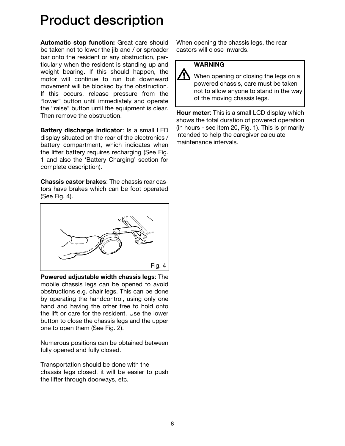## Product description

Automatic stop function: Great care should be taken not to lower the jib and / or spreader bar onto the resident or any obstruction, particularly when the resident is standing up and weight bearing. If this should happen, the motor will continue to run but downward movement will be blocked by the obstruction. If this occurs, release pressure from the "lower" button until immediately and operate the "raise" button until the equipment is clear. Then remove the obstruction.

Battery discharge indicator: Is a small LED display situated on the rear of the electronics / battery compartment, which indicates when the lifter battery requires recharging (See Fig. 1 and also the 'Battery Charging' section for complete description).

Chassis castor brakes: The chassis rear castors have brakes which can be foot operated (See Fig. 4).



Powered adjustable width chassis legs: The mobile chassis legs can be opened to avoid obstructions e.g. chair legs. This can be done by operating the handcontrol, using only one hand and having the other free to hold onto the lift or care for the resident. Use the lower button to close the chassis legs and the upper one to open them (See Fig. 2).

Numerous positions can be obtained between fully opened and fully closed.

Transportation should be done with the chassis legs closed, it will be easier to push the lifter through doorways, etc.

When opening the chassis legs, the rear castors will close inwards.

### **WARNING**

Ą When opening or closing the legs on a powered chassis, care must be taken not to allow anyone to stand in the way of the moving chassis legs.

Hour meter: This is a small LCD display which shows the total duration of powered operation (in hours - see item 20, Fig. 1). This is primarily intended to help the caregiver calculate maintenance intervals.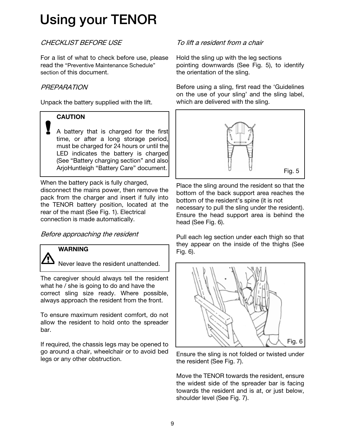## CHECKLIST BEFORE USE

For a list of what to check before use, please read the "Preventive Maintenance Schedule" section of this document.

### **PREPARATION**

Unpack the battery supplied with the lift.

### **CAUTION**

A battery that is charged for the first time, or after a long storage period, must be charged for 24 hours or until the LED indicates the battery is charged (See "Battery charging section" and also ArjoHuntleigh "Battery Care" document.

When the battery pack is fully charged, disconnect the mains power, then remove the pack from the charger and insert if fully into the TENOR battery position, located at the rear of the mast (See Fig. 1). Electrical connection is made automatically.

Before approaching the resident

### **WARNING**

Never leave the resident unattended.

The caregiver should always tell the resident what he / she is going to do and have the correct sling size ready. Where possible, always approach the resident from the front.

To ensure maximum resident comfort, do not allow the resident to hold onto the spreader bar.

If required, the chassis legs may be opened to go around a chair, wheelchair or to avoid bed legs or any other obstruction.

### To lift a resident from a chair

Hold the sling up with the leg sections pointing downwards (See Fig. 5), to identify the orientation of the sling.

Before using a sling, first read the 'Guidelines on the use of your sling' and the sling label, which are delivered with the sling.



Place the sling around the resident so that the bottom of the back support area reaches the bottom of the resident's spine (it is not necessary to pull the sling under the resident). Ensure the head support area is behind the head (See Fig. 6).

Pull each leg section under each thigh so that they appear on the inside of the thighs (See Fig. 6).



Ensure the sling is not folded or twisted under the resident (See Fig. 7).

Move the TENOR towards the resident, ensure the widest side of the spreader bar is facing towards the resident and is at, or just below, shoulder level (See Fig. 7).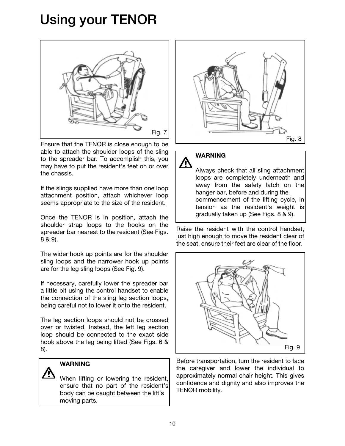

Ensure that the TENOR is close enough to be able to attach the shoulder loops of the sling to the spreader bar. To accomplish this, you may have to put the resident's feet on or over the chassis.

If the slings supplied have more than one loop attachment position, attach whichever loop seems appropriate to the size of the resident.

Once the TENOR is in position, attach the shoulder strap loops to the hooks on the spreader bar nearest to the resident (See Figs. 8 & 9).

The wider hook up points are for the shoulder sling loops and the narrower hook up points are for the leg sling loops (See Fig. 9).

If necessary, carefully lower the spreader bar a little bit using the control handset to enable the connection of the sling leg section loops, being careful not to lower it onto the resident.

The leg section loops should not be crossed over or twisted. Instead, the left leg section loop should be connected to the exact side hook above the leg being lifted (See Figs. 6 & 8).

### WARNING

When lifting or lowering the resident, ensure that no part of the resident's body can be caught between the lift's moving parts.





Always check that all sling attachment loops are completely underneath and away from the safety latch on the hanger bar, before and during the commencement of the lifting cycle, in tension as the resident's weight is gradually taken up (See Figs. 8 & 9).

Raise the resident with the control handset, just high enough to move the resident clear of the seat, ensure their feet are clear of the floor.



Before transportation, turn the resident to face the caregiver and lower the individual to approximately normal chair height. This gives confidence and dignity and also improves the TENOR mobility.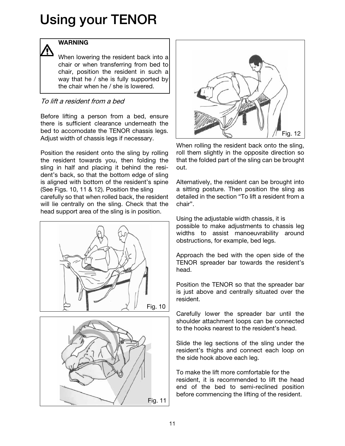### WARNING

When lowering the resident back into a chair or when transferring from bed to chair, position the resident in such a way that he / she is fully supported by the chair when he / she is lowered.

### To lift a resident from a bed

Before lifting a person from a bed, ensure there is sufficient clearance underneath the bed to accomodate the TENOR chassis legs. Adjust width of chassis legs if necessary.

Position the resident onto the sling by rolling the resident towards you, then folding the sling in half and placing it behind the resident's back, so that the bottom edge of sling is aligned with bottom of the resident's spine (See Figs. 10, 11 & 12). Position the sling carefully so that when rolled back, the resident will lie centrally on the sling. Check that the head support area of the sling is in position.







When rolling the resident back onto the sling, roll them slightly in the opposite direction so that the folded part of the sling can be brought out.

Alternatively, the resident can be brought into a sitting posture. Then position the sling as detailed in the section "To lift a resident from a chair".

Using the adjustable width chassis, it is possible to make adjustments to chassis leg widths to assist manoeuvrability around obstructions, for example, bed legs.

Approach the bed with the open side of the TENOR spreader bar towards the resident's head.

Position the TENOR so that the spreader bar is just above and centrally situated over the resident.

Carefully lower the spreader bar until the shoulder attachment loops can be connected to the hooks nearest to the resident's head.

Slide the leg sections of the sling under the resident's thighs and connect each loop on the side hook above each leg.

To make the lift more comfortable for the resident, it is recommended to lift the head end of the bed to semi-reclined position before commencing the lifting of the resident.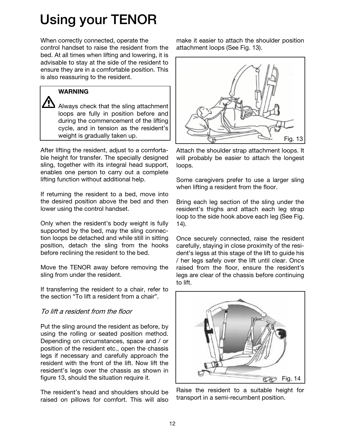When correctly connected, operate the control handset to raise the resident from the bed. At all times when lifting and lowering, it is advisable to stay at the side of the resident to ensure they are in a comfortable position. This is also reassuring to the resident.

### WARNING

Always check that the sling attachment loops are fully in position before and during the commencement of the lifting cycle, and in tension as the resident's weight is gradually taken up.

After lifting the resident, adjust to a comfortable height for transfer. The specially designed sling, together with its integral head support, enables one person to carry out a complete lifting function without additional help.

If returning the resident to a bed, move into the desired position above the bed and then lower using the control handset.

Only when the resident's body weight is fully supported by the bed, may the sling connection loops be detached and while still in sitting position, detach the sling from the hooks before reclining the resident to the bed.

Move the TENOR away before removing the sling from under the resident.

If transferring the resident to a chair, refer to the section "To lift a resident from a chair".

### To lift a resident from the floor

Put the sling around the resident as before, by using the rolling or seated position method. Depending on circumstances, space and / or position of the resident etc., open the chassis legs if necessary and carefully approach the resident with the front of the lift. Now lift the resident's legs over the chassis as shown in figure 13, should the situation require it.

The resident's head and shoulders should be raised on pillows for comfort. This will also make it easier to attach the shoulder position attachment loops (See Fig. 13).



Attach the shoulder strap attachment loops. It will probably be easier to attach the longest loops.

Some caregivers prefer to use a larger sling when lifting a resident from the floor.

Bring each leg section of the sling under the resident's thighs and attach each leg strap loop to the side hook above each leg (See Fig. 14).

Once securely connected, raise the resident carefully, staying in close proximity of the resident's legss at this stage of the lift to guide his / her legs safely over the lift until clear. Once raised from the floor, ensure the resident's legs are clear of the chassis before continuing to lift.



Raise the resident to a suitable height for transport in a semi-recumbent position.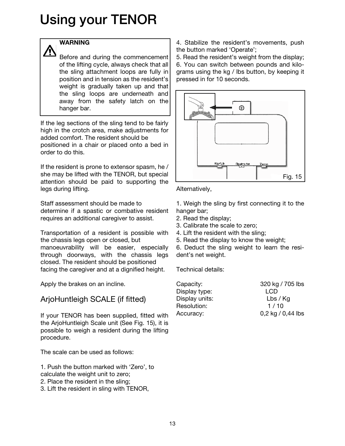### **WARNING**

Before and during the commencement of the lifting cycle, always check that all the sling attachment loops are fully in position and in tension as the resident's weight is gradually taken up and that the sling loops are underneath and away from the safety latch on the hanger bar.

If the leg sections of the sling tend to be fairly high in the crotch area, make adjustments for added comfort. The resident should be positioned in a chair or placed onto a bed in order to do this.

If the resident is prone to extensor spasm, he / she may be lifted with the TENOR, but special attention should be paid to supporting the legs during lifting.

Staff assessment should be made to determine if a spastic or combative resident requires an additional caregiver to assist.

Transportation of a resident is possible with the chassis legs open or closed, but manoeuvrability will be easier, especially through doorways, with the chassis legs closed. The resident should be positioned facing the caregiver and at a dignified height.

Apply the brakes on an incline.

## ArjoHuntleigh SCALE (if fitted)

If your TENOR has been supplied, fitted with the ArjoHuntleigh Scale unit (See Fig. 15), it is possible to weigh a resident during the lifting procedure.

The scale can be used as follows:

1. Push the button marked with 'Zero', to calculate the weight unit to zero;

- 2. Place the resident in the sling;
- 3. Lift the resident in sling with TENOR,

4. Stabilize the resident's movements, push the button marked 'Operate';

5. Read the resident's weight from the display; 6. You can switch between pounds and kilograms using the kg / lbs button, by keeping it pressed in for 10 seconds.



Alternatively,

1. Weigh the sling by first connecting it to the hanger bar;

- 2. Read the display;
- 3. Calibrate the scale to zero;

4. Lift the resident with the sling;

5. Read the display to know the weight;

6. Deduct the sling weight to learn the resident's net weight.

Technical details:

| Capacity:      | 320 kg / 705 lbs  |
|----------------|-------------------|
| Display type:  | <b>LCD</b>        |
| Display units: | Lbs / Kg          |
| Resolution:    | 1/10              |
| Accuracy:      | 0,2 kg / 0,44 lbs |
|                |                   |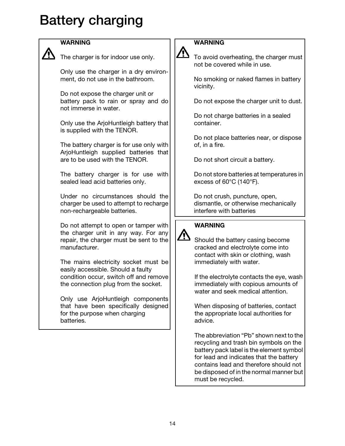# Battery charging



### WARNING

The charger is for indoor use only.

Only use the charger in a dry environment, do not use in the bathroom.

Do not expose the charger unit or battery pack to rain or spray and do not immerse in water.

Only use the ArjoHuntleigh battery that is supplied with the TENOR.

The battery charger is for use only with ArjoHuntleigh supplied batteries that are to be used with the TENOR.

The battery charger is for use with sealed lead acid batteries only.

Under no circumstances should the charger be used to attempt to recharge non-rechargeable batteries.

Do not attempt to open or tamper with the charger unit in any way. For any repair, the charger must be sent to the manufacturer.

The mains electricity socket must be easily accessible. Should a faulty condition occur, switch off and remove the connection plug from the socket.

Only use ArjoHuntleigh components that have been specifically designed for the purpose when charging batteries.

### **WARNING**

To avoid overheating, the charger must not be covered while in use.

No smoking or naked flames in battery vicinity.

Do not expose the charger unit to dust.

Do not charge batteries in a sealed container.

Do not place batteries near, or dispose of, in a fire.

Do not short circuit a battery.

Do not store batteries at temperatures in excess of 60°C (140°F).

Do not crush, puncture, open, dismantle, or otherwise mechanically interfere with batteries

### WARNING

 $\overline{\mathbb{V}}$ 

Should the battery casing become cracked and electrolyte come into contact with skin or clothing, wash immediately with water.

If the electrolyte contacts the eye, wash immediately with copious amounts of water and seek medical attention.

When disposing of batteries, contact the appropriate local authorities for advice.

The abbreviation "Pb" shown next to the recycling and trash bin symbols on the battery pack label is the element symbol for lead and indicates that the battery contains lead and therefore should not be disposed of in the normal manner but must be recycled.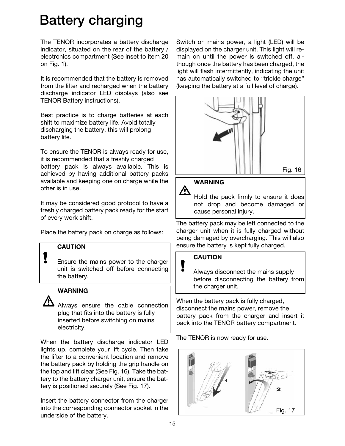# Battery charging

The TENOR incorporates a battery discharge indicator, situated on the rear of the battery / electronics compartment (See inset to item 20 on Fig. 1).

It is recommended that the battery is removed from the lifter and recharged when the battery discharge indicator LED displays (also see TENOR Battery instructions).

Best practice is to charge batteries at each shift to maximize battery life. Avoid totally discharging the battery, this will prolong battery life.

To ensure the TENOR is always ready for use, it is recommended that a freshly charged battery pack is always available. This is achieved by having additional battery packs available and keeping one on charge while the other is in use.

It may be considered good protocol to have a freshly charged battery pack ready for the start of every work shift.

Place the battery pack on charge as follows:

### **CAUTION**

Į

Ensure the mains power to the charger unit is switched off before connecting the battery.

### **WARNING**

Always ensure the cable connection plug that fits into the battery is fully inserted before switching on mains electricity.

When the battery discharge indicator LED lights up, complete your lift cycle. Then take the lifter to a convenient location and remove the battery pack by holding the grip handle on the top and lift clear (See Fig. 16). Take the battery to the battery charger unit, ensure the battery is positioned securely (See Fig. 17).

Insert the battery connector from the charger into the corresponding connector socket in the underside of the battery.

Switch on mains power, a light (LED) will be displayed on the charger unit. This light will remain on until the power is switched off, although once the battery has been charged, the light will flash intermittently, indicating the unit has automatically switched to "trickle charge" (keeping the battery at a full level of charge).



### WARNING

 $\Delta$ Hold the pack firmly to ensure it does not drop and become damaged or cause personal injury.

The battery pack may be left connected to the charger unit when it is fully charged without being damaged by overcharging. This will also ensure the battery is kept fully charged.

### **CAUTION**

Always disconnect the mains supply before disconnecting the battery from the charger unit.

When the battery pack is fully charged, disconnect the mains power, remove the battery pack from the charger and insert it back into the TENOR battery compartment.

The TENOR is now ready for use.

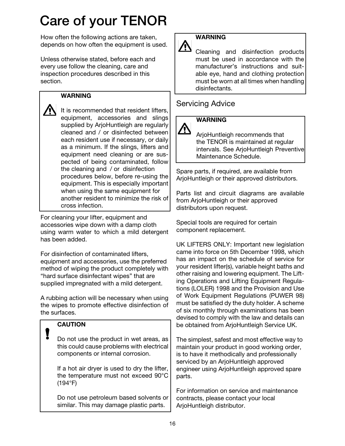# Care of your TENOR

How often the following actions are taken, depends on how often the equipment is used.

Unless otherwise stated, before each and every use follow the cleaning, care and inspection procedures described in this section.

### WARNING

It is recommended that resident lifters, equipment, accessories and slings supplied by ArjoHuntleigh are regularly cleaned and / or disinfected between each resident use if necessary, or daily as a minimum. If the slings, lifters and equipment need cleaning or are suspected of being contaminated, follow the cleaning and / or disinfection procedures below, before re-using the equipment. This is especially important when using the same equipment for another resident to minimize the risk of cross infection.

For cleaning your lifter, equipment and accessories wipe down with a damp cloth using warm water to which a mild detergent has been added.

For disinfection of contaminated lifters, equipment and accessories, use the preferred method of wiping the product completely with "hard surface disinfectant wipes" that are supplied impregnated with a mild detergent.

A rubbing action will be necessary when using the wipes to promote effective disinfection of the surfaces.

### **CAUTION**

Do not use the product in wet areas, as this could cause problems with electrical components or internal corrosion.

If a hot air dryer is used to dry the lifter, the temperature must not exceed 90°C (194°F)

Do not use petroleum based solvents or similar. This may damage plastic parts.



### Cleaning and disinfection products must be used in accordance with the manufacturer's instructions and suitable eye, hand and clothing protection must be worn at all times when handling disinfectants.

## Servicing Advice

### **WARNING**

ArjoHuntleigh recommends that the TENOR is maintained at regular intervals. See ArjoHuntleigh Preventive Maintenance Schedule.

Spare parts, if required, are available from ArjoHuntleigh or their approved distributors.

Parts list and circuit diagrams are available from ArjoHuntleigh or their approved distributors upon request.

Special tools are required for certain component replacement.

UK LIFTERS ONLY: Important new legislation came into force on 5th December 1998, which has an impact on the schedule of service for your resident lifter(s), variable height baths and other raising and lowering equipment. The Lifting Operations and Lifting Equipment Regulations (LOLER) 1998 and the Provision and Use of Work Equipment Regulations (PUWER 98) must be satisfied dy the duty holder. A scheme of six monthly through examinations has been devised to comply with the law and details can be obtained from ArjoHuntleigh Service UK.

The simplest, safest and most effective way to maintain your product in good working order, is to have it methodically and professionally serviced by an ArjoHuntleigh approved engineer using ArjoHuntleigh approved spare parts.

For information on service and maintenance contracts, please contact your local ArjoHuntleigh distributor.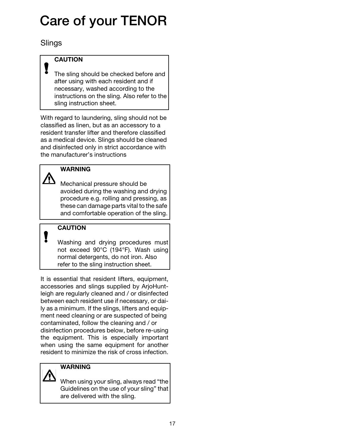# Care of your TENOR

**Slings** 

### **CAUTION**

The sling should be checked before and after using with each resident and if necessary, washed according to the instructions on the sling. Also refer to the sling instruction sheet.

With regard to laundering, sling should not be classified as linen, but as an accessory to a resident transfer lifter and therefore classified as a medical device. Slings should be cleaned and disinfected only in strict accordance with the manufacturer's instructions

### **WARNING**

<u> 个</u>

Į

Mechanical pressure should be avoided during the washing and drying procedure e.g. rolling and pressing, as these can damage parts vital to the safe and comfortable operation of the sling.

## **CAUTION**

Washing and drying procedures must not exceed 90°C (194°F). Wash using normal detergents, do not iron. Also refer to the sling instruction sheet.

It is essential that resident lifters, equipment, accessories and slings supplied by ArjoHuntleigh are regularly cleaned and / or disinfected between each resident use if necessary, or daily as a minimum. If the slings, lifters and equipment need cleaning or are suspected of being contaminated, follow the cleaning and / or disinfection procedures below, before re-using the equipment. This is especially important when using the same equipment for another resident to minimize the risk of cross infection.

### **WARNING**

When using your sling, always read "the Guidelines on the use of your sling" that are delivered with the sling.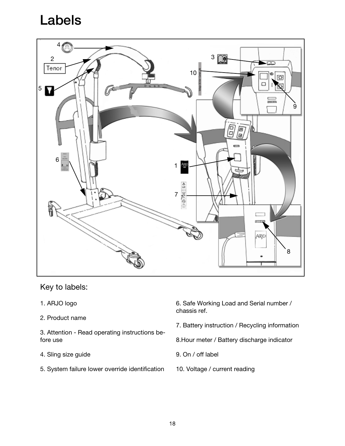# Labels



Key to labels:

- 1. ARJO logo
- 2. Product name
- 3. Attention Read operating instructions before use
- 4. Sling size guide
- 5. System failure lower override identification

6. Safe Working Load and Serial number / chassis ref.

- 7. Battery instruction / Recycling information
- 8.Hour meter / Battery discharge indicator
- 9. On / off label
- 10. Voltage / current reading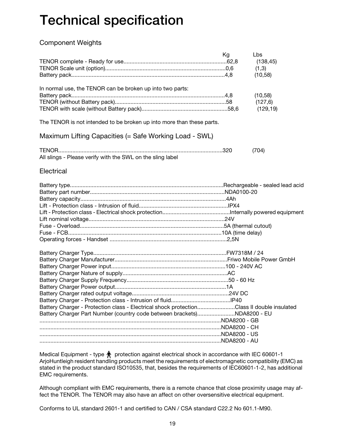### Component Weights

|                                                                                           | Kg | Lbs       |
|-------------------------------------------------------------------------------------------|----|-----------|
|                                                                                           |    | (138, 45) |
|                                                                                           |    | (1,3)     |
|                                                                                           |    | (10, 58)  |
| In normal use, the TENOR can be broken up into two parts:                                 |    |           |
|                                                                                           |    | (10, 58)  |
|                                                                                           |    | (127, 6)  |
|                                                                                           |    | (129, 19) |
| The TENOR is not intended to be broken up into more than these parts.                     |    |           |
| Maximum Lifting Capacities (= Safe Working Load - SWL)                                    |    |           |
|                                                                                           |    | (704)     |
| All slings - Please verify with the SWL on the sling label                                |    |           |
| Electrical                                                                                |    |           |
|                                                                                           |    |           |
|                                                                                           |    |           |
|                                                                                           |    |           |
|                                                                                           |    |           |
|                                                                                           |    |           |
|                                                                                           |    |           |
|                                                                                           |    |           |
|                                                                                           |    |           |
|                                                                                           |    |           |
|                                                                                           |    |           |
|                                                                                           |    |           |
|                                                                                           |    |           |
|                                                                                           |    |           |
|                                                                                           |    |           |
|                                                                                           |    |           |
|                                                                                           |    |           |
|                                                                                           |    |           |
| Battery Charger - Protection class - Electrical shock protectionClass II double insulated |    |           |
|                                                                                           |    |           |
|                                                                                           |    |           |
|                                                                                           |    |           |
|                                                                                           |    |           |
|                                                                                           |    |           |
|                                                                                           |    |           |

Medical Equipment - type  $\bigwedge$  protection against electrical shock in accordance with IEC 60601-1 ArjoHuntleigh resident handling products meet the requirements of electromagnetic compatibility (EMC) as stated in the product standard ISO10535, that, besides the requirements of IEC60601-1-2, has additional EMC requirements.

Although compliant with EMC requirements, there is a remote chance that close proximity usage may affect the TENOR. The TENOR may also have an affect on other oversensitive electrical equipment.

Conforms to UL standard 2601-1 and certified to CAN / CSA standard C22.2 No 601.1-M90.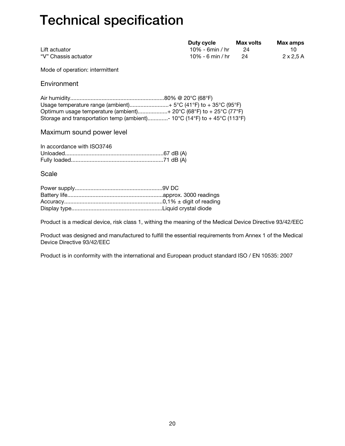|                      | Duty cycle       | Max volts | Max amps         |
|----------------------|------------------|-----------|------------------|
| Lift actuator        | 10% - 6min / hr  |           | 10.              |
| "V" Chassis actuator | 10% - 6 min / hr | 24        | $2 \times 2.5$ A |

Mode of operation: intermittent

**Environment** 

| Usage temperature range (ambient) $5^{\circ}C$ (41°F) to + 35°C (95°F)                                                     |  |
|----------------------------------------------------------------------------------------------------------------------------|--|
| Optimum usage temperature (ambient) + 20 $\textdegree$ C (68 $\textdegree$ F) to + 25 $\textdegree$ C (77 $\textdegree$ F) |  |
| Storage and transportation temp (ambient)- 10°C (14°F) to +45°C (113°F)                                                    |  |

### Maximum sound power level

| In accordance with ISO3746 |  |
|----------------------------|--|
|                            |  |
|                            |  |

Scale

Product is a medical device, risk class 1, withing the meaning of the Medical Device Directive 93/42/EEC

Product was designed and manufactured to fulfill the essential requirements from Annex 1 of the Medical Device Directive 93/42/EEC

Product is in conformity with the international and European product standard ISO / EN 10535: 2007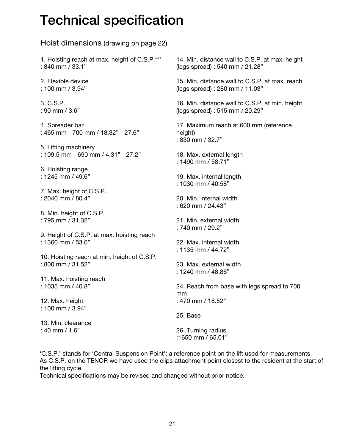Hoist dimensions (drawing on page 22) 1. Hoisting reach at max. height of C.S.P.\*\*\* : 840 mm / 33.1" 2. Flexible device : 100 mm / 3.94" 3. C.S.P. : 90 mm / 3.6" 4. Spreader bar : 465 mm - 700 mm / 18.32" - 27.6" 5. Lifting machinery : 109,5 mm - 690 mm / 4.31" - 27.2" 6. Hoisting range : 1245 mm / 49.6" 7. Max. height of C.S.P. : 2040 mm / 80.4" 8. Min. height of C.S.P. : 795 mm / 31.32" 9. Height of C.S.P. at max. hoisting reach : 1360 mm / 53.6" 10. Hoisting reach at min. height of C.S.P. : 800 mm / 31.52" 11. Max. hoisting reach : 1035 mm / 40.8" 12. Max. height : 100 mm / 3.94" 13. Min. clearance : 40 mm / 1.6" 14. Min. distance wall to C.S.P. at max. height (legs spread) : 540 mm / 21.28" 15. Min. distance wall to C.S.P. at max. reach (legs spread) : 280 mm / 11.03" 16. Min. distance wall to C.S.P. at min. height (legs spread) : 515 mm / 20.29" 17. Maximum reach at 600 mm (reference height) : 830 mm / 32.7" 18. Max. external length : 1490 mm / 58.71" 19. Max. internal length : 1030 mm / 40.58" 20. Min. internal width : 620 mm / 24.43" 21. Min. external width : 740 mm / 29.2" 22. Max. internal width : 1135 mm / 44.72" 23. Max. external width : 1240 mm / 48.86" 24. Reach from base with legs spread to 700 mm : 470 mm / 18.52" 25. Base 26. Turning radius :1650 mm / 65.01"

'C.S.P.' stands for 'Central Suspension Point': a reference point on the lift used for measurements. As C.S.P. on the TENOR we have used the clips attachment point closest to the resident at the start of the lifting cycle.

Technical specifications may be revised and changed without prior notice.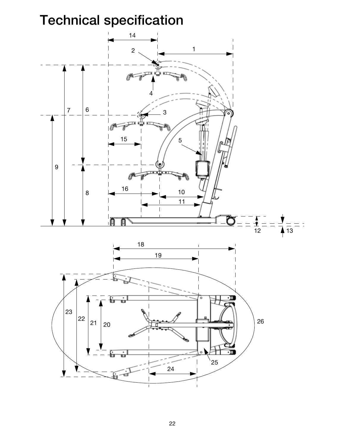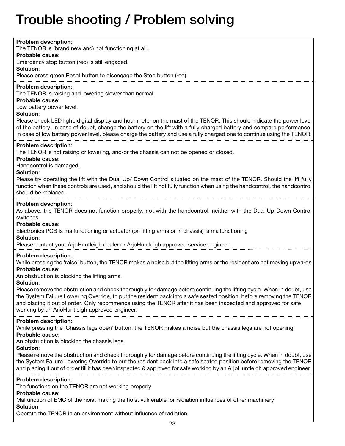# Trouble shooting / Problem solving

| Problem description:<br>The TENOR is (brand new and) not functioning at all.<br>Probable cause:<br>Emergency stop button (red) is still engaged.<br>Solution:                                                                                                                                                                                                                                                                                                                                                                                                                                                                                               |
|-------------------------------------------------------------------------------------------------------------------------------------------------------------------------------------------------------------------------------------------------------------------------------------------------------------------------------------------------------------------------------------------------------------------------------------------------------------------------------------------------------------------------------------------------------------------------------------------------------------------------------------------------------------|
| Please press green Reset button to disengage the Stop button (red).                                                                                                                                                                                                                                                                                                                                                                                                                                                                                                                                                                                         |
| <b>Problem description:</b><br>The TENOR is raising and lowering slower than normal.<br>Probable cause:<br>Low battery power level.<br>Solution:<br>Please check LED light, digital display and hour meter on the mast of the TENOR. This should indicate the power level<br>of the battery. In case of doubt, change the battery on the lift with a fully charged battery and compare performance.<br>In case of low battery power level, please charge the battery and use a fully charged one to continue using the TENOR.                                                                                                                               |
| Problem description:<br>The TENOR is not raising or lowering, and/or the chassis can not be opened or closed.<br>Probable cause:<br>Handcontrol is damaged.<br>Solution:<br>Please try operating the lift with the Dual Up/ Down Control situated on the mast of the TENOR. Should the lift fully<br>function when these controls are used, and should the lift not fully function when using the handcontrol, the handcontrol<br>should be replaced.                                                                                                                                                                                                       |
| Problem description:<br>As above, the TENOR does not function properly, not with the handcontrol, neither with the Dual Up-Down Control<br>switches.<br>Probable cause:<br>Electronics PCB is malfunctioning or actuator (on lifting arms or in chassis) is malfunctioning<br>Solution:<br>Please contact your ArjoHuntleigh dealer or ArjoHuntleigh approved service engineer.                                                                                                                                                                                                                                                                             |
| <b>Problem description:</b><br>While pressing the 'raise' button, the TENOR makes a noise but the lifting arms or the resident are not moving upwards<br>Probable cause:<br>An obstruction is blocking the lifting arms.<br>Solution:<br>Please remove the obstruction and check thoroughly for damage before continuing the lifting cycle. When in doubt, use<br>the System Failure Lowering Override, to put the resident back into a safe seated position, before removing the TENOR<br>and placing it out of order. Only recommence using the TENOR after it has been inspected and approved for safe<br>working by an ArjoHuntleigh approved engineer. |
| Problem description:<br>While pressing the 'Chassis legs open' button, the TENOR makes a noise but the chassis legs are not opening.<br>Probable cause:<br>An obstruction is blocking the chassis legs.<br>Solution:<br>Please remove the obstruction and check thoroughly for damage before continuing the lifting cycle. When in doubt, use<br>the System Failure Lowering Override to put the resident back into a safe seated position before removing the TENOR<br>and placing it out of order till it has been inspected & approved for safe working by an ArjoHuntleigh approved engineer.                                                           |
| Problem description:<br>The functions on the TENOR are not working properly<br>Probable cause:<br>Malfunction of EMC of the hoist making the hoist vulnerable for radiation influences of other machinery<br><b>Solution</b>                                                                                                                                                                                                                                                                                                                                                                                                                                |

Operate the TENOR in an environment without influence of radiation.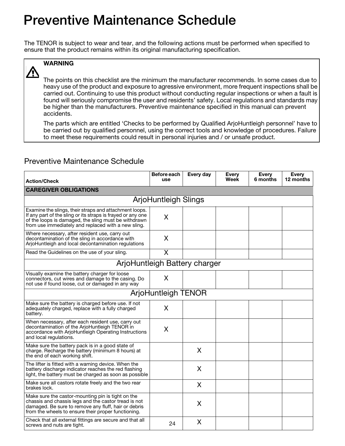# Preventive Maintenance Schedule

The TENOR is subject to wear and tear, and the following actions must be performed when specified to ensure that the product remains within its original manufacturing specification.



## **WARNING**

The points on this checklist are the minimum the manufacturer recommends. In some cases due to heavy use of the product and exposure to agressive environment, more frequent inspections shall be carried out. Continuing to use this product without conducting regular inspections or when a fault is found will seriously compromise the user and residents' safety. Local regulations and standards may be higher than the manufacturers. Preventive maintenance specified in this manual can prevent accidents.

The parts which are entitled 'Checks to be performed by Qualified ArjoHuntleigh personnel' have to be carried out by qualified personnel, using the correct tools and knowledge of procedures. Failure to meet these requirements could result in personal injuries and / or unsafe product.

### Preventive Maintenance Schedule

| <b>Action/Check</b>                                                                                                                                                                                                                  | Before each<br>use            | Every day | Every<br>Week | Every<br>6 months | Every<br>12 months |
|--------------------------------------------------------------------------------------------------------------------------------------------------------------------------------------------------------------------------------------|-------------------------------|-----------|---------------|-------------------|--------------------|
| <b>CAREGIVER OBLIGATIONS</b>                                                                                                                                                                                                         |                               |           |               |                   |                    |
|                                                                                                                                                                                                                                      | <b>ArjoHuntleigh Slings</b>   |           |               |                   |                    |
| Examine the slings, their straps and attachment loops.<br>If any part of the sling or its straps is frayed or any one<br>of the loops is damaged, the sling must be withdrawn<br>from use immediately and replaced with a new sling. | X                             |           |               |                   |                    |
| Where necessary, after resident use, carry out<br>decontamination of the sling in accordance with<br>ArjoHuntleigh and local decontamination regulations                                                                             | X                             |           |               |                   |                    |
| Read the Guidelines on the use of your sling.                                                                                                                                                                                        | X                             |           |               |                   |                    |
|                                                                                                                                                                                                                                      | ArjoHuntleigh Battery charger |           |               |                   |                    |
| Visually examine the battery charger for loose<br>connectors, cut wires and damage to the casing. Do<br>not use if found loose, cut or damaged in any way                                                                            | X                             |           |               |                   |                    |
|                                                                                                                                                                                                                                      | <b>ArjoHuntleigh TENOR</b>    |           |               |                   |                    |
| Make sure the battery is charged before use. If not<br>adequately charged, replace with a fully charged<br>battery.                                                                                                                  | X                             |           |               |                   |                    |
| When necessary, after each resident use, carry out<br>decontamination of the ArjoHuntleigh TENOR in<br>accordance with ArjoHuntleigh Operating Instructions<br>and local regulations.                                                | X                             |           |               |                   |                    |
| Make sure the battery pack is in a good state of<br>charge. Recharge the battery (minimum 8 hours) at<br>the end of each working shift.                                                                                              |                               | X         |               |                   |                    |
| The lifter is fitted with a warning device. When the<br>battery discharge indicator reaches the red flashing<br>light, the battery must be charged as soon as possible                                                               |                               | X         |               |                   |                    |
| Make sure all castors rotate freely and the two rear<br>brakes lock.                                                                                                                                                                 |                               | X         |               |                   |                    |
| Make sure the castor-mounting pin is tight on the<br>chassis and chassis legs and the castor tread is not<br>damaged. Be sure to remove any fluff, hair or debris<br>from the wheels to ensure their proper functioning.             |                               | X         |               |                   |                    |
| Check that all external fittings are secure and that all<br>screws and nuts are tight.                                                                                                                                               | 24                            | X         |               |                   |                    |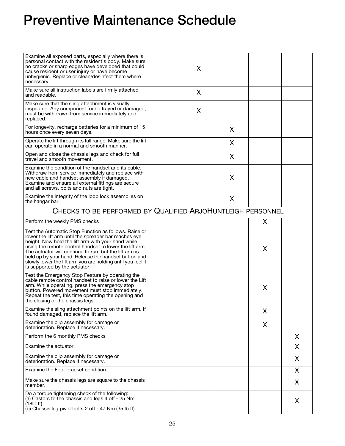## Preventive Maintenance Schedule

| Examine all exposed parts, especially where there is<br>personal contact with the resident's body. Make sure<br>no cracks or sharp edges have developed that could<br>cause resident or user injury or have become<br>unhygienic. Replace or clean/desinfect them where<br>necessary.                                                                                                                                                             | X |   |   |    |
|---------------------------------------------------------------------------------------------------------------------------------------------------------------------------------------------------------------------------------------------------------------------------------------------------------------------------------------------------------------------------------------------------------------------------------------------------|---|---|---|----|
| Make sure all instruction labels are firmly attached<br>and readable.                                                                                                                                                                                                                                                                                                                                                                             | X |   |   |    |
| Make sure that the sling attachment is visually<br>inspected. Any component found frayed or damaged,<br>must be withdrawn from service immediately and<br>replaced.                                                                                                                                                                                                                                                                               | X |   |   |    |
| For longevity, recharge batteries for a minimum of 15<br>hours once every seven days.                                                                                                                                                                                                                                                                                                                                                             |   | X |   |    |
| Operate the lift through its full range. Make sure the lift<br>can operate in a normal and smooth manner.                                                                                                                                                                                                                                                                                                                                         |   | X |   |    |
| Open and close the chassis legs and check for full<br>travel and smooth movement.                                                                                                                                                                                                                                                                                                                                                                 |   | X |   |    |
| Examine the condition of the handset and its cable.<br>Withdraw from service immediately and replace with<br>new cable and handset assembly if damaged.<br>Examine and ensure all external fittings are secure<br>and all screws, bolts and nuts are tight.                                                                                                                                                                                       |   | X |   |    |
| Examine the integrity of the loop lock assemblies on<br>the hangar bar.                                                                                                                                                                                                                                                                                                                                                                           |   | X |   |    |
| CHECKS TO BE PERFORMED BY QUALIFIED ARJOHUNTLEIGH PERSONNEL                                                                                                                                                                                                                                                                                                                                                                                       |   |   |   |    |
| Perform the weekly PMS checks                                                                                                                                                                                                                                                                                                                                                                                                                     |   |   | X |    |
| Test the Automatic Stop Function as follows. Raise or<br>lower the lift arm until the spreader bar reaches eye<br>height. Now hold the lift arm with your hand while<br>using the remote control handset to lower the lift arm.<br>The actuator will continue to run, but the lift arm is<br>held up by your hand. Release the handset button and<br>slowly lower the lift arm you are holding until you feel it<br>is supported by the actuator. |   |   | X |    |
| Test the Emergency Stop Feature by operating the<br>cable remote control handset to raise or lower the Lift<br>arm. While operating, press the emergency stop<br>button. Powered movement must stop immediately.<br>Repeat the test, this time operating the opening and<br>the closing of the chassis legs.                                                                                                                                      |   |   | X |    |
| Examine the sling attachment points on the lift arm. If<br>found damaged, replace the lift arm.                                                                                                                                                                                                                                                                                                                                                   |   |   | X |    |
| Examine the clip assembly for damage or<br>deterioration. Replace if necessary.                                                                                                                                                                                                                                                                                                                                                                   |   |   | X |    |
| Perform the 6 monthly PMS checks                                                                                                                                                                                                                                                                                                                                                                                                                  |   |   |   | X. |
| Examine the actuator.                                                                                                                                                                                                                                                                                                                                                                                                                             |   |   |   | X  |
| Examine the clip assembly for damage or<br>deterioration. Replace if necessary.                                                                                                                                                                                                                                                                                                                                                                   |   |   |   | X. |
| Examine the Foot bracket condition.                                                                                                                                                                                                                                                                                                                                                                                                               |   |   |   | X  |
| Make sure the chassis legs are square to the chassis<br>member.                                                                                                                                                                                                                                                                                                                                                                                   |   |   |   | X  |
| Do a torque tightening check of the following:<br>(a) Castors to the chassis and legs 4 off - 25 Nm<br>(18lb ft)<br>(b) Chassis leg pivot bolts 2 off - 47 Nm (35 lb ft)                                                                                                                                                                                                                                                                          |   |   |   | X  |